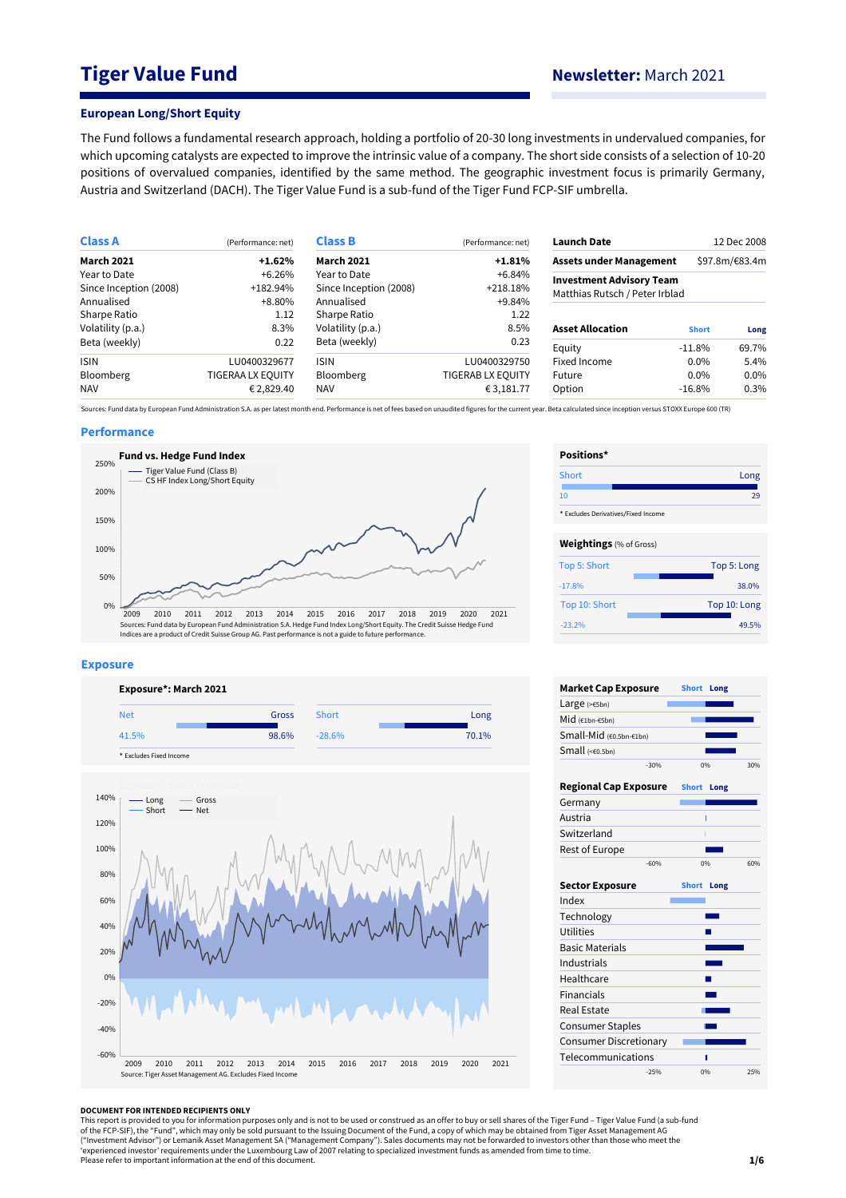# **Tiger Value Fund Newsletter:** March 2021

### **European Long/Short Equity**

The Fund follows a fundamental research approach, holding a portfolio of 20-30 long investments in undervalued companies, for which upcoming catalysts are expected to improve the intrinsic value of a company. The short side consists of a selection of 10-20 positions of overvalued companies, identified by the same method. The geographic investment focus is primarily Germany, Austria and Switzerland (DACH). The Tiger Value Fund is a sub-fund of the Tiger Fund FCP-SIF umbrella.

| <b>Class A</b>         | (Performance: net)       | <b>Class B</b><br>(Performance: net) |                                | <b>Launch Date</b>                                                | 12 Dec 2008    |         |  |
|------------------------|--------------------------|--------------------------------------|--------------------------------|-------------------------------------------------------------------|----------------|---------|--|
| <b>March 2021</b>      | $+1.62%$                 | <b>March 2021</b>                    | <b>Assets under Management</b> |                                                                   | \$97.8m/€83.4m |         |  |
| Year to Date           | $+6.26%$                 | Year to Date                         |                                |                                                                   |                |         |  |
| Since Inception (2008) | +182.94%                 | Since Inception (2008)               | $+218.18%$                     | <b>Investment Advisory Team</b><br>Matthias Rutsch / Peter Irblad |                |         |  |
| Annualised             | +8.80%                   | Annualised                           | +9.84%                         |                                                                   |                |         |  |
| Sharpe Ratio           | 1.12                     | Sharpe Ratio                         | 1.22                           |                                                                   |                |         |  |
| Volatility (p.a.)      | 8.3%                     | Volatility (p.a.)                    | 8.5%                           | <b>Asset Allocation</b>                                           | <b>Short</b>   | Long    |  |
| Beta (weekly)          | 0.22                     | Beta (weekly)                        | 0.23                           | Equity                                                            | $-11.8\%$      | 69.7%   |  |
| <b>ISIN</b>            | LU0400329677             | <b>ISIN</b>                          | LU0400329750                   | Fixed Income                                                      | $0.0\%$        | 5.4%    |  |
| <b>Bloomberg</b>       | <b>TIGERAA LX EQUITY</b> | Bloomberg                            | <b>TIGERAB LX EQUITY</b>       | Future                                                            | $0.0\%$        | $0.0\%$ |  |
| <b>NAV</b>             | € 2,829.40               | <b>NAV</b>                           | € 3,181.77                     | Option                                                            | $-16.8%$       | 0.3%    |  |

Sources: Fund data by European Fund Administration S.A. as per latest month end. Performance is net of fees based on unaudited figures for the current year. Beta calculated since inception versus STOXX Europe 600 (TR)

## **Performance**



#### **Exposure**



\* Excludes Fixed Income



| Positions*                          |              |
|-------------------------------------|--------------|
| Short                               | Long         |
| 10                                  | 29           |
| * Excludes Derivatives/Fixed Income |              |
| <b>Weightings</b> (% of Gross)      |              |
| Top 5: Short                        | Top 5: Long  |
| $-17.8%$                            | 38.0%        |
| Top 10: Short                       | Top 10: Long |
| $-23.2%$                            | 49.5%        |

| 0%                   | 30% |
|----------------------|-----|
| <b>Short</b><br>Long |     |
|                      |     |
|                      |     |
|                      |     |
|                      |     |
| 0%                   | 60% |
| Short Long           |     |
|                      |     |
|                      |     |
|                      |     |
|                      |     |
|                      |     |
|                      |     |
|                      |     |
|                      |     |
|                      |     |
|                      |     |
|                      |     |
|                      |     |
|                      |     |

#### **DOCUMENT FOR INTENDED RECIPIENTS ONLY**

This report is provided to you for information purposes only and is not to be used or construed as an offer to buy or sell shares of the Tiger Fund – Tiger Value Fund (a sub-fund<br>of the FCP-SIF), the "Fund", which may only ("Investment Advisor") or Lemanik Asset Management SA ("Management Company"). Sales documents may not be forwarded to investors other than those who meet the<br>'experienced investor' requirements under the Luxembourg Law of Please refer to important information at the end of this document.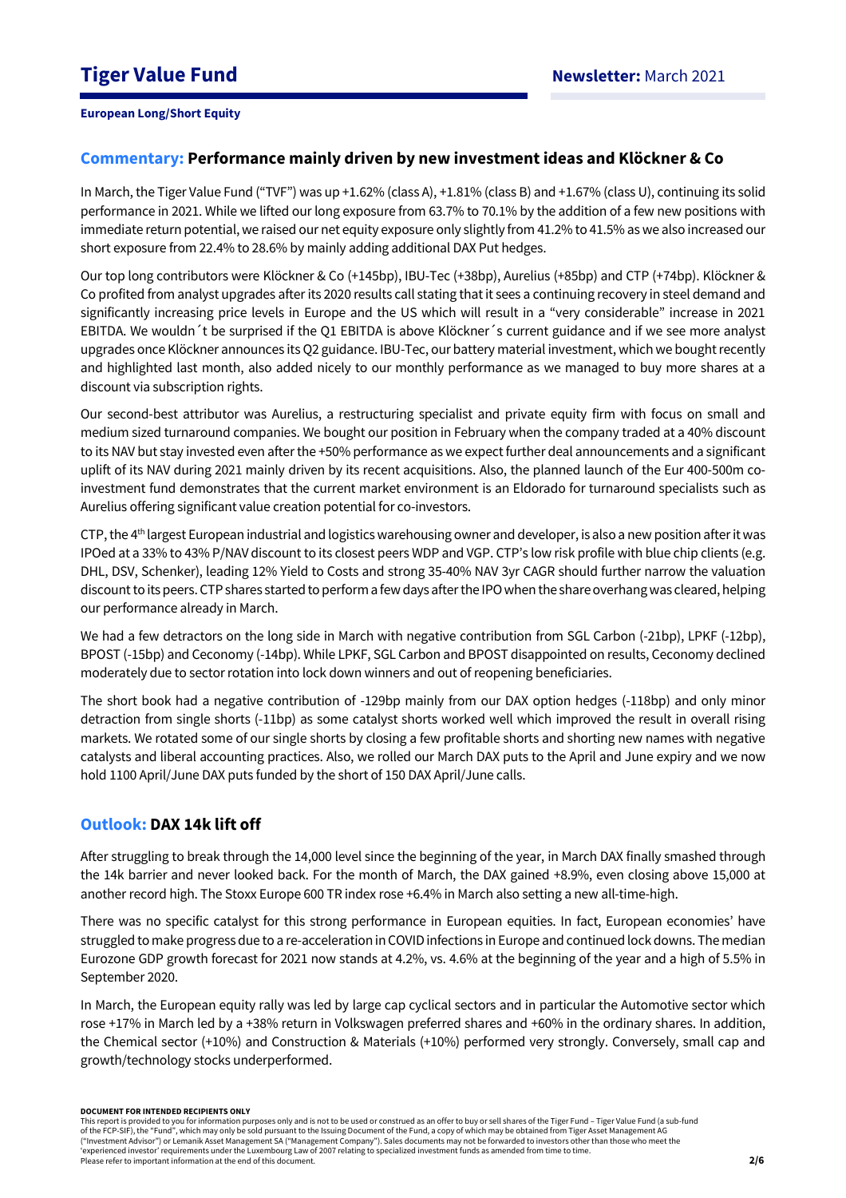# **Commentary: Performance mainly driven by new investment ideas and Klöckner & Co**

In March, the Tiger Value Fund ("TVF") was up +1.62% (class A), +1.81% (class B) and +1.67% (class U), continuing its solid performance in 2021. While we lifted our long exposure from 63.7% to 70.1% by the addition of a few new positions with immediate return potential, we raised our net equity exposure only slightly from 41.2% to 41.5% as we also increased our short exposure from 22.4% to 28.6% by mainly adding additional DAX Put hedges.

Our top long contributors were Klöckner & Co (+145bp), IBU-Tec (+38bp), Aurelius (+85bp) and CTP (+74bp). Klöckner & Co profited from analyst upgrades after its 2020 results call stating that it sees a continuing recovery in steel demand and significantly increasing price levels in Europe and the US which will result in a "very considerable" increase in 2021 EBITDA. We wouldn´t be surprised if the Q1 EBITDA is above Klöckner´s current guidance and if we see more analyst upgrades once Klöckner announces its Q2 guidance. IBU-Tec, our battery material investment, which we bought recently and highlighted last month, also added nicely to our monthly performance as we managed to buy more shares at a discount via subscription rights.

Our second-best attributor was Aurelius, a restructuring specialist and private equity firm with focus on small and medium sized turnaround companies. We bought our position in February when the company traded at a 40% discount to its NAV but stay invested even after the +50% performance as we expect further deal announcements and a significant uplift of its NAV during 2021 mainly driven by its recent acquisitions. Also, the planned launch of the Eur 400-500m coinvestment fund demonstrates that the current market environment is an Eldorado for turnaround specialists such as Aurelius offering significant value creation potential for co-investors.

CTP, the 4<sup>th</sup> largest European industrial and logistics warehousing owner and developer, is also a new position after it was IPOed at a 33% to 43% P/NAV discount to its closest peers WDP and VGP. CTP's low risk profile with blue chip clients (e.g. DHL, DSV, Schenker), leading 12% Yield to Costs and strong 35-40% NAV 3yr CAGR should further narrow the valuation discount to its peers. CTP shares started to perform a few days after the IPO when the share overhang was cleared, helping our performance already in March.

We had a few detractors on the long side in March with negative contribution from SGL Carbon (-21bp), LPKF (-12bp), BPOST (-15bp) and Ceconomy (-14bp). While LPKF, SGL Carbon and BPOST disappointed on results, Ceconomy declined moderately due to sector rotation into lock down winners and out of reopening beneficiaries.

The short book had a negative contribution of -129bp mainly from our DAX option hedges (-118bp) and only minor detraction from single shorts (-11bp) as some catalyst shorts worked well which improved the result in overall rising markets. We rotated some of our single shorts by closing a few profitable shorts and shorting new names with negative catalysts and liberal accounting practices. Also, we rolled our March DAX puts to the April and June expiry and we now hold 1100 April/June DAX puts funded by the short of 150 DAX April/June calls.

# **Outlook: DAX 14k lift off**

After struggling to break through the 14,000 level since the beginning of the year, in March DAX finally smashed through the 14k barrier and never looked back. For the month of March, the DAX gained +8.9%, even closing above 15,000 at another record high. The Stoxx Europe 600 TR index rose +6.4% in March also setting a new all-time-high.

There was no specific catalyst for this strong performance in European equities. In fact, European economies' have struggled to make progress due to a re-acceleration in COVID infections in Europe and continued lock downs. The median Eurozone GDP growth forecast for 2021 now stands at 4.2%, vs. 4.6% at the beginning of the year and a high of 5.5% in September 2020.

In March, the European equity rally was led by large cap cyclical sectors and in particular the Automotive sector which rose +17% in March led by a +38% return in Volkswagen preferred shares and +60% in the ordinary shares. In addition, the Chemical sector (+10%) and Construction & Materials (+10%) performed very strongly. Conversely, small cap and growth/technology stocks underperformed.

#### **DOCUMENT FOR INTENDED RECIPIENTS ONLY**

This report is provided to you for information purposes only and is not to be used or construed as an offer to buy or sell shares of the Tiger Fund – Tiger Value Fund (a sub-fund of the FCP-SIF), the "Fund", which may only be sold pursuant to the Issuing Document of the Fund, a copy of which may be obtained from Tiger Asset Management AG ("Investment Advisor") or Lemanik Asset Management SA ("Management Company"). Sales documents may not be forwarded to investors other than those who meet the 'experienced investor' requirements under the Luxembourg Law of 2007 relating to specialized investment funds as amended from time to time. Please refer to important information at the end of this document.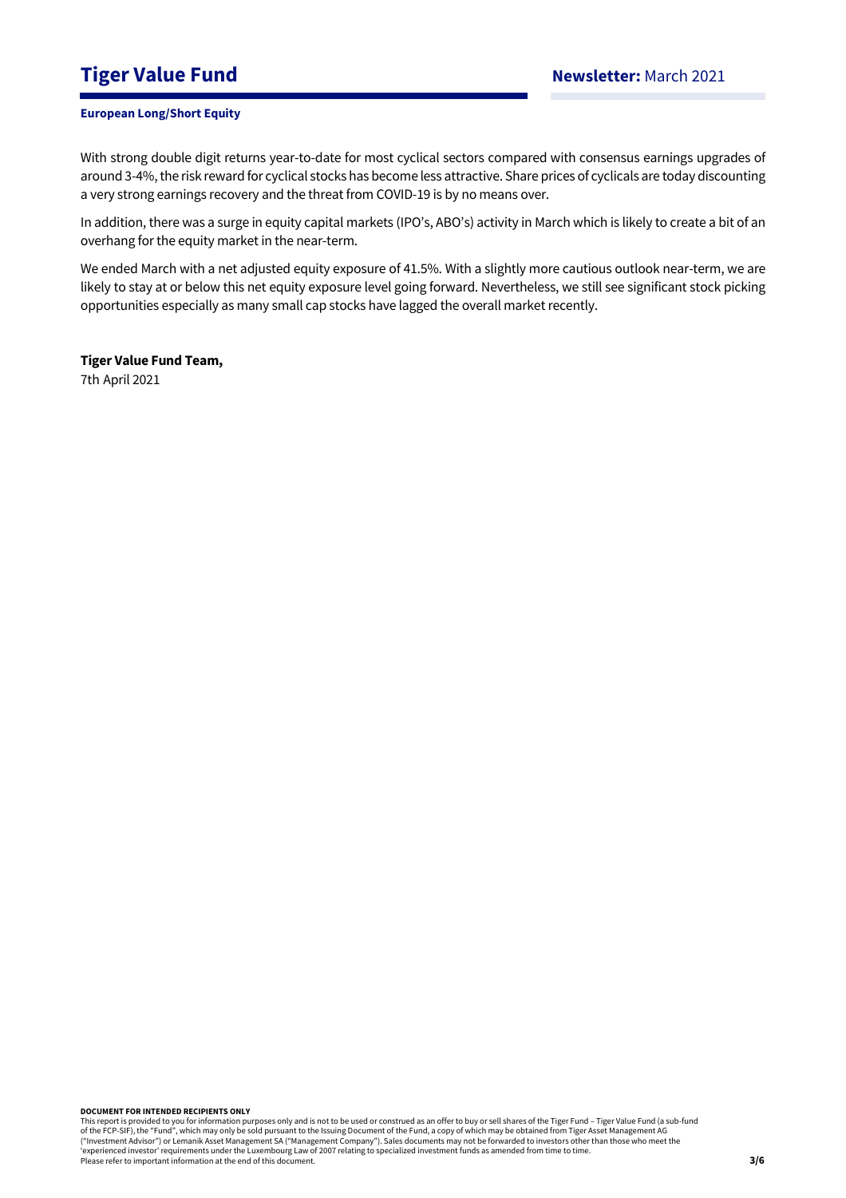# **Tiger Value Fund Newsletter:** March 2021

## **European Long/Short Equity**

With strong double digit returns year-to-date for most cyclical sectors compared with consensus earnings upgrades of around 3-4%, the risk reward for cyclical stocks has become less attractive. Share prices of cyclicals are today discounting a very strong earnings recovery and the threat from COVID-19 is by no means over.

In addition, there was a surge in equity capital markets (IPO's, ABO's) activity in March which is likely to create a bit of an overhang for the equity market in the near-term.

We ended March with a net adjusted equity exposure of 41.5%. With a slightly more cautious outlook near-term, we are likely to stay at or below this net equity exposure level going forward. Nevertheless, we still see significant stock picking opportunities especially as many small cap stocks have lagged the overall market recently.

**Tiger Value Fund Team,**  7th April 2021

#### **DOCUMENT FOR INTENDED RECIPIENTS ONLY**

This report is provided to you for information purposes only and is not to be used or construed as an offer to buy or sell shares of the Tiger Fund – Tiger Value Fund (a sub-fund<br>of the FCP-SIF), the "Fund", which may only ("Investment Advisor") or Lemanik Asset Management SA ("Management Company"). Sales documents may not be forwarded to investors other than those who meet the 'experienced investor' requirements under the Luxembourg Law of 2007 relating to specialized investment funds as amended from time to time. Please refer to important information at the end of this document.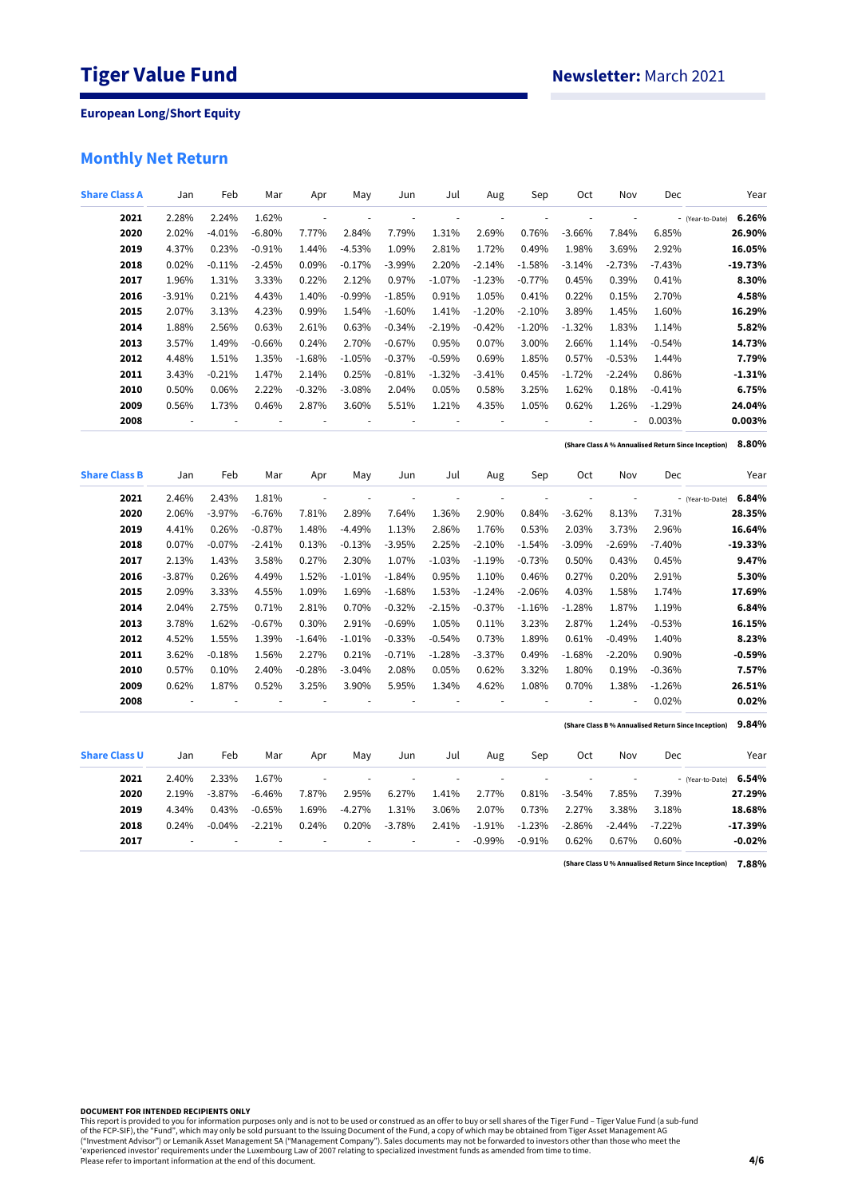# **Monthly Net Return**

| <b>Share Class A</b> | Jan      | Feb            | Mar      | Apr                      | May                      | Jun            | Jul                      | Aug                      | Sep                      | Oct                      | Nov           | Dec      | Year                                                         |
|----------------------|----------|----------------|----------|--------------------------|--------------------------|----------------|--------------------------|--------------------------|--------------------------|--------------------------|---------------|----------|--------------------------------------------------------------|
| 2021                 | 2.28%    | 2.24%          | 1.62%    | $\overline{\phantom{a}}$ | ÷,                       | ÷,             | ÷,                       | $\overline{\phantom{a}}$ | $\overline{\phantom{a}}$ | $\overline{\phantom{a}}$ | ÷,            |          | 6.26%<br>- (Year-to-Date)                                    |
| 2020                 | 2.02%    | $-4.01%$       | $-6.80%$ | 7.77%                    | 2.84%                    | 7.79%          | 1.31%                    | 2.69%                    | 0.76%                    | $-3.66%$                 | 7.84%         | 6.85%    | 26.90%                                                       |
| 2019                 | 4.37%    | 0.23%          | $-0.91%$ | 1.44%                    | $-4.53%$                 | 1.09%          | 2.81%                    | 1.72%                    | 0.49%                    | 1.98%                    | 3.69%         | 2.92%    | 16.05%                                                       |
| 2018                 | 0.02%    | $-0.11%$       | $-2.45%$ | 0.09%                    | $-0.17%$                 | $-3.99%$       | 2.20%                    | $-2.14%$                 | $-1.58%$                 | $-3.14%$                 | $-2.73%$      | $-7.43%$ | $-19.73%$                                                    |
| 2017                 | 1.96%    | 1.31%          | 3.33%    | 0.22%                    | 2.12%                    | 0.97%          | $-1.07%$                 | $-1.23%$                 | $-0.77%$                 | 0.45%                    | 0.39%         | 0.41%    | 8.30%                                                        |
| 2016                 | $-3.91%$ | 0.21%          | 4.43%    | 1.40%                    | $-0.99%$                 | $-1.85%$       | 0.91%                    | 1.05%                    | 0.41%                    | 0.22%                    | 0.15%         | 2.70%    | 4.58%                                                        |
| 2015                 | 2.07%    | 3.13%          | 4.23%    | 0.99%                    | 1.54%                    | $-1.60%$       | 1.41%                    | $-1.20%$                 | $-2.10%$                 | 3.89%                    | 1.45%         | 1.60%    | 16.29%                                                       |
| 2014                 | 1.88%    | 2.56%          | 0.63%    | 2.61%                    | 0.63%                    | $-0.34%$       | $-2.19%$                 | $-0.42%$                 | $-1.20%$                 | $-1.32%$                 | 1.83%         | 1.14%    | 5.82%                                                        |
| 2013                 | 3.57%    | 1.49%          | $-0.66%$ | 0.24%                    | 2.70%                    | $-0.67%$       | 0.95%                    | 0.07%                    | 3.00%                    | 2.66%                    | 1.14%         | $-0.54%$ | 14.73%                                                       |
| 2012                 | 4.48%    | 1.51%          | 1.35%    | $-1.68%$                 | $-1.05%$                 | $-0.37%$       | $-0.59%$                 | 0.69%                    | 1.85%                    | 0.57%                    | $-0.53%$      | 1.44%    | 7.79%                                                        |
| 2011                 | 3.43%    | $-0.21%$       | 1.47%    | 2.14%                    | 0.25%                    | $-0.81%$       | $-1.32%$                 | $-3.41%$                 | 0.45%                    | $-1.72%$                 | $-2.24%$      | 0.86%    | $-1.31%$                                                     |
| 2010                 | 0.50%    | 0.06%          | 2.22%    | $-0.32%$                 | $-3.08%$                 | 2.04%          | 0.05%                    | 0.58%                    | 3.25%                    | 1.62%                    | 0.18%         | $-0.41%$ | 6.75%                                                        |
| 2009                 | 0.56%    | 1.73%          | 0.46%    | 2.87%                    | 3.60%                    | 5.51%          | 1.21%                    | 4.35%                    | 1.05%                    | 0.62%                    | 1.26%         | $-1.29%$ | 24.04%                                                       |
| 2008                 | ÷        | $\overline{a}$ | ÷,       | $\overline{a}$           |                          |                | ÷,                       | ł,                       | $\overline{\phantom{a}}$ | ÷,                       | ÷,            | 0.003%   | 0.003%                                                       |
|                      |          |                |          |                          |                          |                |                          |                          |                          |                          |               |          | 8.80%<br>(Share Class A % Annualised Return Since Inception) |
| <b>Share Class B</b> | Jan      | Feb            | Mar      | Apr                      | May                      | Jun            | Jul                      | Aug                      | Sep                      | Oct                      | Nov           | Dec      | Year                                                         |
| 2021                 | 2.46%    | 2.43%          | 1.81%    | $\overline{\phantom{a}}$ |                          | $\frac{1}{2}$  | ÷,                       | ÷,                       | ÷,                       | $\blacksquare$           | $\frac{1}{2}$ |          | 6.84%<br>- (Year-to-Date)                                    |
| 2020                 | 2.06%    | $-3.97%$       | $-6.76%$ | 7.81%                    | 2.89%                    | 7.64%          | 1.36%                    | 2.90%                    | 0.84%                    | $-3.62%$                 | 8.13%         | 7.31%    | 28.35%                                                       |
| 2019                 | 4.41%    | 0.26%          | $-0.87%$ | 1.48%                    | $-4.49%$                 | 1.13%          | 2.86%                    | 1.76%                    | 0.53%                    | 2.03%                    | 3.73%         | 2.96%    | 16.64%                                                       |
| 2018                 | 0.07%    | $-0.07%$       | $-2.41%$ | 0.13%                    | $-0.13%$                 | $-3.95%$       | 2.25%                    | $-2.10%$                 | $-1.54%$                 | $-3.09%$                 | $-2.69%$      | $-7.40%$ | $-19.33%$                                                    |
| 2017                 | 2.13%    | 1.43%          | 3.58%    | 0.27%                    | 2.30%                    | 1.07%          | $-1.03%$                 | $-1.19%$                 | $-0.73%$                 | 0.50%                    | 0.43%         | 0.45%    | 9.47%                                                        |
| 2016                 | $-3.87%$ | 0.26%          | 4.49%    | 1.52%                    | $-1.01%$                 | $-1.84%$       | 0.95%                    | 1.10%                    | 0.46%                    | 0.27%                    | 0.20%         | 2.91%    | 5.30%                                                        |
| 2015                 | 2.09%    | 3.33%          | 4.55%    | 1.09%                    | 1.69%                    | $-1.68%$       | 1.53%                    | $-1.24%$                 | $-2.06%$                 | 4.03%                    | 1.58%         | 1.74%    | 17.69%                                                       |
| 2014                 | 2.04%    | 2.75%          | 0.71%    | 2.81%                    | 0.70%                    | $-0.32%$       | $-2.15%$                 | $-0.37%$                 | $-1.16%$                 | $-1.28%$                 | 1.87%         | 1.19%    | 6.84%                                                        |
| 2013                 | 3.78%    | 1.62%          | $-0.67%$ | 0.30%                    | 2.91%                    | $-0.69%$       | 1.05%                    | 0.11%                    | 3.23%                    | 2.87%                    | 1.24%         | $-0.53%$ | 16.15%                                                       |
| 2012                 | 4.52%    | 1.55%          | 1.39%    | $-1.64%$                 | $-1.01%$                 | $-0.33%$       | $-0.54%$                 | 0.73%                    | 1.89%                    | 0.61%                    | $-0.49%$      | 1.40%    | 8.23%                                                        |
| 2011                 | 3.62%    | $-0.18%$       | 1.56%    | 2.27%                    | 0.21%                    | $-0.71%$       | $-1.28%$                 | $-3.37%$                 | 0.49%                    | $-1.68%$                 | $-2.20%$      | 0.90%    | $-0.59%$                                                     |
| 2010                 | 0.57%    | 0.10%          | 2.40%    | $-0.28%$                 | $-3.04%$                 | 2.08%          | 0.05%                    | 0.62%                    | 3.32%                    | 1.80%                    | 0.19%         | $-0.36%$ | 7.57%                                                        |
| 2009                 | 0.62%    | 1.87%          | 0.52%    | 3.25%                    | 3.90%                    | 5.95%          | 1.34%                    | 4.62%                    | 1.08%                    | 0.70%                    | 1.38%         | $-1.26%$ | 26.51%                                                       |
| 2008                 | ÷,       | ÷,             | ł,       | $\overline{\phantom{a}}$ | ÷,                       |                | ä,                       | ÷,                       | $\overline{\phantom{a}}$ | ÷,                       | ÷,            | 0.02%    | 0.02%                                                        |
|                      |          |                |          |                          |                          |                |                          |                          |                          |                          |               |          | 9.84%<br>(Share Class B% Annualised Return Since Inception)  |
| <b>Share Class U</b> | Jan      | Feb            | Mar      | Apr                      | May                      | Jun            | Jul                      | Aug                      | Sep                      | Oct                      | Nov           | Dec      | Year                                                         |
| 2021                 | 2.40%    | 2.33%          | 1.67%    | $\overline{\phantom{a}}$ | $\overline{\phantom{a}}$ | $\overline{a}$ | $\overline{\phantom{a}}$ | ÷,                       | $\sim$                   | $\overline{\phantom{a}}$ | ÷,            |          | 6.54%<br>- (Year-to-Date)                                    |
| 2020                 | 2.19%    | $-3.87%$       | $-6.46%$ | 7.87%                    | 2.95%                    | 6.27%          | 1.41%                    | 2.77%                    | 0.81%                    | $-3.54%$                 | 7.85%         | 7.39%    | 27.29%                                                       |
| 2019                 | 4.34%    | 0.43%          | $-0.65%$ | 1.69%                    | $-4.27%$                 | 1.31%          | 3.06%                    | 2.07%                    | 0.73%                    | 2.27%                    | 3.38%         | 3.18%    | 18.68%                                                       |
| 2018                 | 0.24%    | $-0.04%$       | $-2.21%$ | 0.24%                    | 0.20%                    | $-3.78%$       | 2.41%                    | $-1.91%$                 | $-1.23%$                 | $-2.86%$                 | $-2.44%$      | $-7.22%$ | $-17.39%$                                                    |
| 2017                 |          |                |          |                          |                          |                | ä,                       | $-0.99%$                 | $-0.91%$                 | 0.62%                    | 0.67%         | 0.60%    | $-0.02%$                                                     |

**7.88% (Share Class U % Annualised Return Since Inception)**

**DOCUMENT FOR INTENDED RECIPIENTS ONLY**

This report is provided to you for information purposes only and is not to be used or construed as an offer to buy or sell shares of the Tiger Fund – Tiger Value Fund (a sub-fund<br>of the FCP-SIF), the "Fund", which may only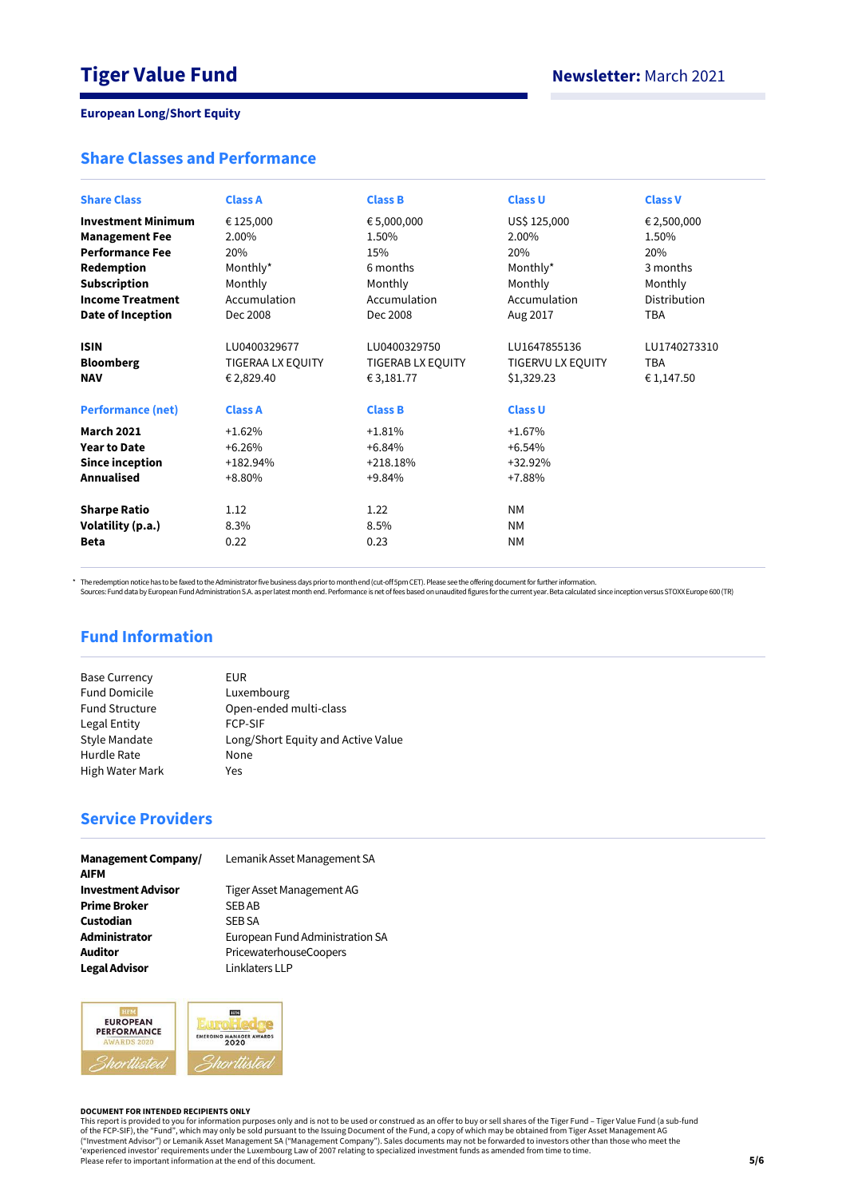# **Share Classes and Performance**

| <b>Share Class</b>                                                        | <b>Class A</b>                                                    | <b>Class B</b>                                                    | <b>Class U</b>                                                    | <b>Class V</b>                           |
|---------------------------------------------------------------------------|-------------------------------------------------------------------|-------------------------------------------------------------------|-------------------------------------------------------------------|------------------------------------------|
| <b>Investment Minimum</b>                                                 | € 125,000                                                         | € 5,000,000                                                       | US\$ 125,000                                                      | € 2,500,000                              |
| <b>Management Fee</b>                                                     | 2.00%                                                             | 1.50%                                                             | 2.00%                                                             | 1.50%                                    |
| <b>Performance Fee</b>                                                    | 20%                                                               | 15%                                                               | 20%                                                               | 20%                                      |
| Redemption                                                                | Monthly*                                                          | 6 months                                                          | Monthly*                                                          | 3 months                                 |
| <b>Subscription</b>                                                       | Monthly                                                           | Monthly                                                           | Monthly                                                           | Monthly                                  |
| <b>Income Treatment</b>                                                   | Accumulation                                                      | Accumulation                                                      | Accumulation                                                      | Distribution                             |
| <b>Date of Inception</b>                                                  | Dec 2008                                                          | Dec 2008                                                          | Aug 2017                                                          | <b>TBA</b>                               |
| <b>ISIN</b><br><b>Bloomberg</b><br><b>NAV</b><br><b>Performance (net)</b> | LU0400329677<br>TIGERAA LX EQUITY<br>€ 2,829.40<br><b>Class A</b> | LU0400329750<br>TIGERAB LX EQUITY<br>€ 3,181.77<br><b>Class B</b> | LU1647855136<br>TIGERVU LX EQUITY<br>\$1,329.23<br><b>Class U</b> | LU1740273310<br><b>TBA</b><br>€ 1,147.50 |
| <b>March 2021</b>                                                         | $+1.62%$                                                          | $+1.81%$                                                          | $+1.67%$                                                          |                                          |
| <b>Year to Date</b>                                                       | $+6.26%$                                                          | $+6.84%$                                                          | $+6.54%$                                                          |                                          |
| <b>Since inception</b>                                                    | $+182.94%$                                                        | $+218.18%$                                                        | +32.92%                                                           |                                          |
| Annualised                                                                | $+8.80%$                                                          | $+9.84%$                                                          | +7.88%                                                            |                                          |
| <b>Sharpe Ratio</b>                                                       | 1.12                                                              | 1.22                                                              | <b>NM</b>                                                         |                                          |
| Volatility (p.a.)                                                         | 8.3%                                                              | 8.5%                                                              | <b>NM</b>                                                         |                                          |
| <b>Beta</b>                                                               | 0.22                                                              | 0.23                                                              | <b>NM</b>                                                         |                                          |

\* The redemption notice has to be faxed to the Administrator five business days prior to month end (cut-off 5pm CET). Please see the offering document for further information.<br>Sources: Fund data by European Fund Administra

# **Fund Information**

| <b>Base Currency</b>  | EUR                                |
|-----------------------|------------------------------------|
| <b>Fund Domicile</b>  | Luxembourg                         |
| <b>Fund Structure</b> | Open-ended multi-class             |
| Legal Entity          | <b>FCP-SIF</b>                     |
| Style Mandate         | Long/Short Equity and Active Value |
| Hurdle Rate           | None                               |
| High Water Mark       | Yes                                |
|                       |                                    |

# **Service Providers**

| <b>Management Company/</b><br><b>AIFM</b> | Lemanik Asset Management SA     |
|-------------------------------------------|---------------------------------|
| <b>Investment Advisor</b>                 | Tiger Asset Management AG       |
| <b>Prime Broker</b>                       | <b>SEBAB</b>                    |
| Custodian                                 | <b>SEB SA</b>                   |
| Administrator                             | European Fund Administration SA |
| <b>Auditor</b>                            | PricewaterhouseCoopers          |
| <b>Legal Advisor</b>                      | Linklaters LLP                  |



#### **DOCUMENT FOR INTENDED RECIPIENTS ONLY**

This report is provided to you for information purposes only and is not to be used or construed as an offer to buy or sell shares of the Tiger Fund – Tiger Value Fund (a sub-fund<br>of the FCP-SIF), the "Fund", which may only